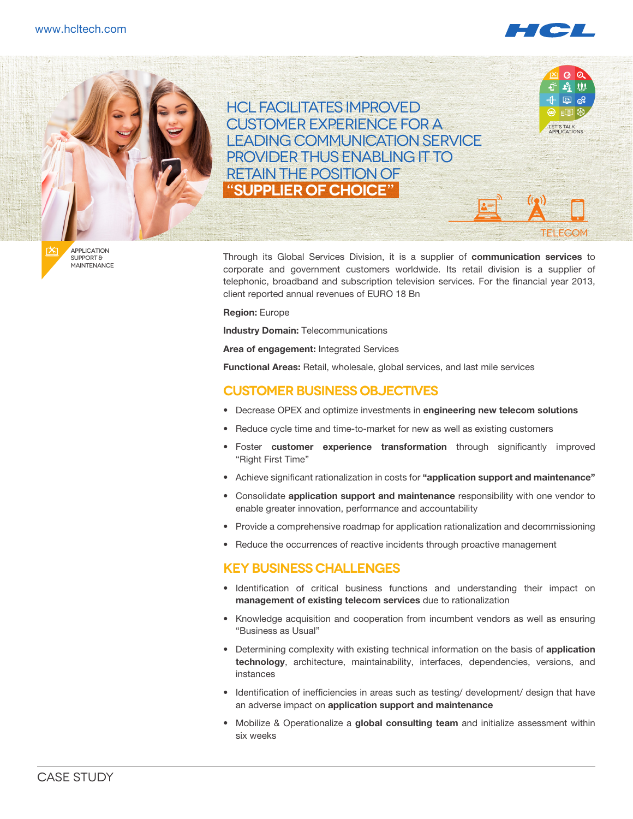



**APPI ICATION** support & **MAINTENANCE** 

Through its Global Services Division, it is a supplier of **communication services** to corporate and government customers worldwide. Its retail division is a supplier of telephonic, broadband and subscription television services. For the financial year 2013, client reported annual revenues of EURO 18 Bn

**Region:** Europe

**Industry Domain:** Telecommunications

**Area of engagement:** Integrated Services

**Functional Areas:** Retail, wholesale, global services, and last mile services

### **Customer Business Objectives**

- • Decrease OPEX and optimize investments in **engineering new telecom solutions**
- Reduce cycle time and time-to-market for new as well as existing customers
- **Foster customer experience transformation** through significantly improved "Right First Time"
- • Achieve significant rationalization in costs for **"application support and maintenance"**
- • Consolidate **application support and maintenance** responsibility with one vendor to enable greater innovation, performance and accountability
- Provide a comprehensive roadmap for application rationalization and decommissioning
- Reduce the occurrences of reactive incidents through proactive management

#### **KEY BUSINESS CHALLENGES**

- • Identification of critical business functions and understanding their impact on **management of existing telecom services** due to rationalization
- • Knowledge acquisition and cooperation from incumbent vendors as well as ensuring "Business as Usual"
- • Determining complexity with existing technical information on the basis of **application technology**, architecture, maintainability, interfaces, dependencies, versions, and instances
- • Identification of inefficiencies in areas such as testing/ development/ design that have an adverse impact on **application support and maintenance**
- Mobilize & Operationalize a global consulting team and initialize assessment within six weeks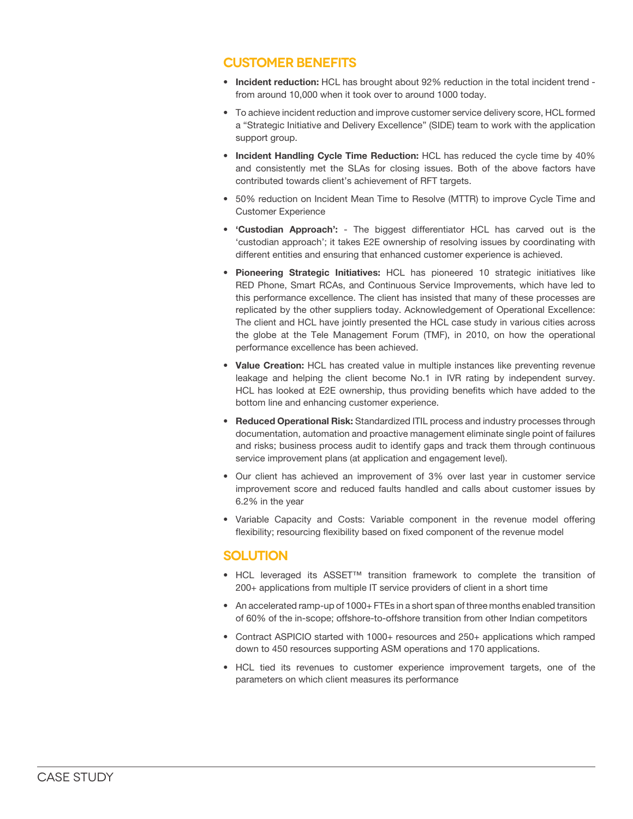## **CUSTOMER BENEFITS**

- **Incident reduction:** HCL has brought about 92% reduction in the total incident trend from around 10,000 when it took over to around 1000 today.
- • To achieve incident reduction and improve customer service delivery score, HCL formed a "Strategic Initiative and Delivery Excellence" (SIDE) team to work with the application support group.
- **• Incident Handling Cycle Time Reduction:** HCL has reduced the cycle time by 40% and consistently met the SLAs for closing issues. Both of the above factors have contributed towards client's achievement of RFT targets.
- 50% reduction on Incident Mean Time to Resolve (MTTR) to improve Cycle Time and Customer Experience
- **• 'Custodian Approach':**  The biggest differentiator HCL has carved out is the 'custodian approach'; it takes E2E ownership of resolving issues by coordinating with different entities and ensuring that enhanced customer experience is achieved.
- **• Pioneering Strategic Initiatives:** HCL has pioneered 10 strategic initiatives like RED Phone, Smart RCAs, and Continuous Service Improvements, which have led to this performance excellence. The client has insisted that many of these processes are replicated by the other suppliers today. Acknowledgement of Operational Excellence: The client and HCL have jointly presented the HCL case study in various cities across the globe at the Tele Management Forum (TMF), in 2010, on how the operational performance excellence has been achieved.
- **• Value Creation:** HCL has created value in multiple instances like preventing revenue leakage and helping the client become No.1 in IVR rating by independent survey. HCL has looked at E2E ownership, thus providing benefits which have added to the bottom line and enhancing customer experience.
- **• Reduced Operational Risk:** Standardized ITIL process and industry processes through documentation, automation and proactive management eliminate single point of failures and risks; business process audit to identify gaps and track them through continuous service improvement plans (at application and engagement level).
- • Our client has achieved an improvement of 3% over last year in customer service improvement score and reduced faults handled and calls about customer issues by 6.2% in the year
- • Variable Capacity and Costs: Variable component in the revenue model offering flexibility; resourcing flexibility based on fixed component of the revenue model

#### **SOLUTION**

- • HCL leveraged its ASSET™ transition framework to complete the transition of 200+ applications from multiple IT service providers of client in a short time
- An accelerated ramp-up of 1000+ FTEs in a short span of three months enabled transition of 60% of the in-scope; offshore-to-offshore transition from other Indian competitors
- Contract ASPICIO started with 1000+ resources and 250+ applications which ramped down to 450 resources supporting ASM operations and 170 applications.
- HCL tied its revenues to customer experience improvement targets, one of the parameters on which client measures its performance